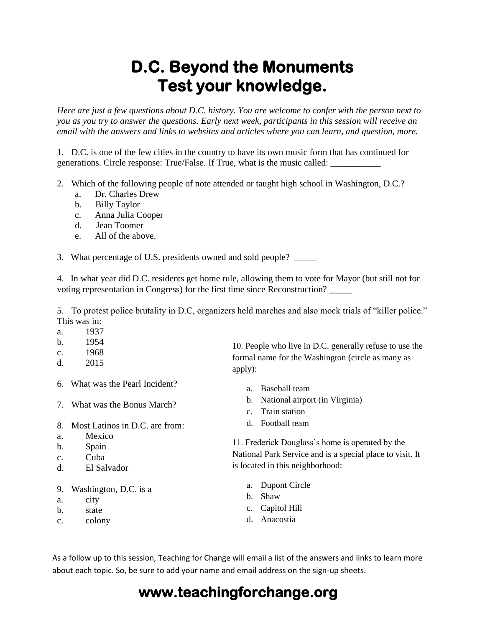## **D.C. Beyond the Monuments Test your knowledge.**

*Here are just a few questions about D.C. history. You are welcome to confer with the person next to you as you try to answer the questions. Early next week, participants in this session will receive an email with the answers and links to websites and articles where you can learn, and question, more.*

1. D.C. is one of the few cities in the country to have its own music form that has continued for generations. Circle response: True/False. If True, what is the music called: \_\_\_\_\_\_\_\_\_\_\_

- 2. Which of the following people of note attended or taught high school in Washington, D.C.?
	- a. Dr. Charles Drew
	- b. Billy Taylor
	- c. Anna Julia Cooper
	- d. Jean Toomer
	- e. All of the above.

3. What percentage of U.S. presidents owned and sold people? \_\_\_\_\_

4. In what year did D.C. residents get home rule, allowing them to vote for Mayor (but still not for voting representation in Congress) for the first time since Reconstruction? \_\_\_\_\_

5. To protest police brutality in D.C, organizers held marches and also mock trials of "killer police." This was in:

- a. 1937
- b. 1954
- c. 1968
- d. 2015
- 6. What was the Pearl Incident?
- 7. What was the Bonus March?
- 8. Most Latinos in D.C. are from:
- a. Mexico
- b. Spain
- c. Cuba
- d. El Salvador
- 9. Washington, D.C. is a
- a. city
- b. state
- c. colony

10. People who live in D.C. generally refuse to use the formal name for the Washington (circle as many as apply):

- a. Baseball team
- b. National airport (in Virginia)
- c. Train station
- d. Football team

11. Frederick Douglass's home is operated by the National Park Service and is a special place to visit. It is located in this neighborhood:

- a. Dupont Circle
- b. Shaw
- c. Capitol Hill
- d. Anacostia

As a follow up to this session, Teaching for Change will email a list of the answers and links to learn more about each topic. So, be sure to add your name and email address on the sign-up sheets.

## **www.teachingforchange.org**